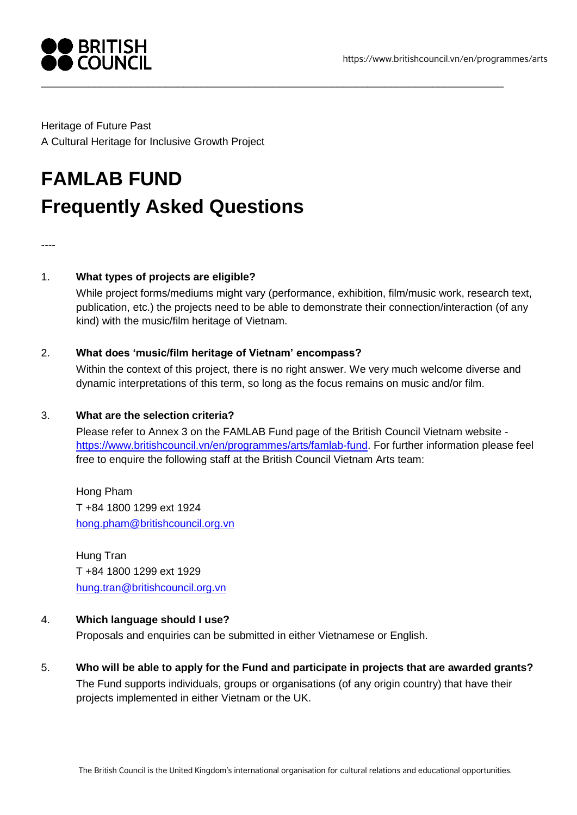

Heritage of Future Past A Cultural Heritage for Inclusive Growth Project

# **FAMLAB FUND Frequently Asked Questions**

----

# 1. **What types of projects are eligible?**

While project forms/mediums might vary (performance, exhibition, film/music work, research text, publication, etc.) the projects need to be able to demonstrate their connection/interaction (of any kind) with the music/film heritage of Vietnam.

\_\_\_\_\_\_\_\_\_\_\_\_\_\_\_\_\_\_\_\_\_\_\_\_\_\_\_\_\_\_\_\_\_\_\_\_\_\_\_\_\_\_\_\_\_\_\_\_\_\_\_\_\_\_\_\_\_\_\_\_\_\_\_\_\_\_\_\_\_\_\_\_\_\_\_\_\_\_

## 2. **What does 'music/film heritage of Vietnam' encompass?**

Within the context of this project, there is no right answer. We very much welcome diverse and dynamic interpretations of this term, so long as the focus remains on music and/or film.

## 3. **What are the selection criteria?**

Please refer to Annex 3 on the FAMLAB Fund page of the British Council Vietnam website [https://www.britishcouncil.vn/en/programmes/arts/famlab-fund.](https://www.britishcouncil.vn/en/programmes/arts/famlab-fund) For further information please feel free to enquire the following staff at the British Council Vietnam Arts team:

Hong Pham T +84 1800 1299 ext 1924 [hong.pham@britishcouncil.org.vn](mailto:hong.pham@britishcouncil.org.vn)

Hung Tran T +84 1800 1299 ext 1929 [hung.tran@britishcouncil.org.vn](mailto:hung.tran@britishcouncil.org.vn)

## 4. **Which language should I use?**

Proposals and enquiries can be submitted in either Vietnamese or English.

5. **Who will be able to apply for the Fund and participate in projects that are awarded grants?** The Fund supports individuals, groups or organisations (of any origin country) that have their projects implemented in either Vietnam or the UK.